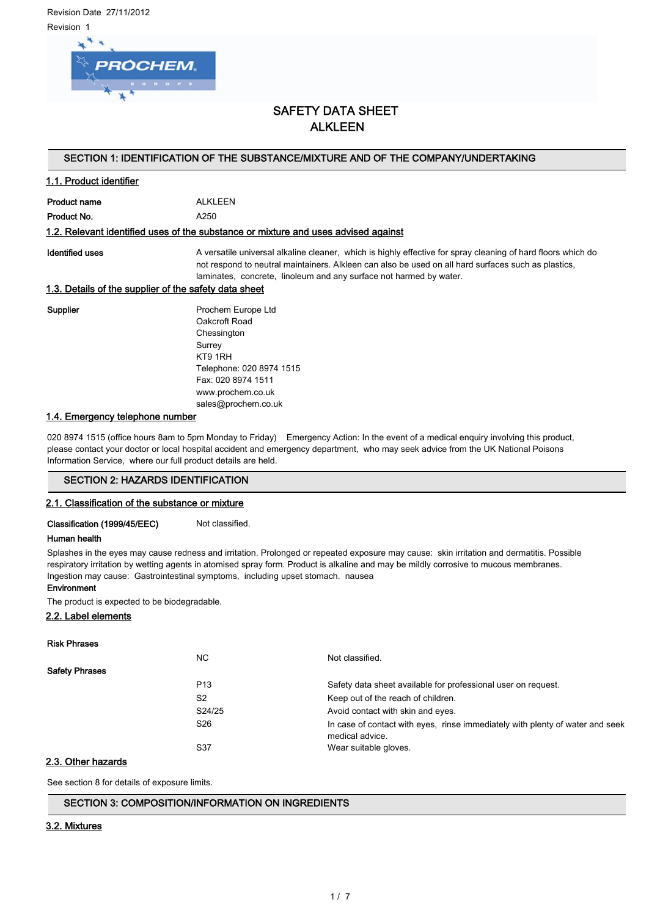Revision Date 27/11/2012 Revision 1



# SAFETY DATA SHEET **ALKLEEN**

## SECTION 1: IDENTIFICATION OF THE SUBSTANCE/MIXTURE AND OF THE COMPANY/UNDERTAKING

## 1.1. Product identifier

Product name ALKLEEN Product No. 66 and 250

#### 1.2. Relevant identified uses of the substance or mixture and uses advised against

Identified uses **A** versatile universal alkaline cleaner, which is highly effective for spray cleaning of hard floors which do not respond to neutral maintainers. Alkleen can also be used on all hard surfaces such as plastics, laminates, concrete, linoleum and any surface not harmed by water.

#### 1.3. Details of the supplier of the safety data sheet

Supplier **Prochem Europe Ltd** Oakcroft Road Chessington Surrey KT9 1RH Telephone: 020 8974 1515 Fax: 020 8974 1511 www.prochem.co.uk sales@prochem.co.uk

#### 1.4. Emergency telephone number

020 8974 1515 (office hours 8am to 5pm Monday to Friday) Emergency Action: In the event of a medical enquiry involving this product, please contact your doctor or local hospital accident and emergency department, who may seek advice from the UK National Poisons Information Service, where our full product details are held.

## SECTION 2: HAZARDS IDENTIFICATION

## 2.1. Classification of the substance or mixture

Classification (1999/45/EEC) Not classified.

#### Human health

Splashes in the eyes may cause redness and irritation. Prolonged or repeated exposure may cause: skin irritation and dermatitis. Possible respiratory irritation by wetting agents in atomised spray form. Product is alkaline and may be mildly corrosive to mucous membranes. Ingestion may cause: Gastrointestinal symptoms, including upset stomach. nausea

## Environment

The product is expected to be biodegradable.

## 2.2. Label elements

#### Risk Phrases

|                       | NC.             | Not classified.                                                                                  |
|-----------------------|-----------------|--------------------------------------------------------------------------------------------------|
| <b>Safety Phrases</b> |                 |                                                                                                  |
|                       | P <sub>13</sub> | Safety data sheet available for professional user on request.                                    |
|                       | S <sub>2</sub>  | Keep out of the reach of children.                                                               |
|                       | S24/25          | Avoid contact with skin and eyes.                                                                |
|                       | S <sub>26</sub> | In case of contact with eyes, rinse immediately with plenty of water and seek<br>medical advice. |
|                       | S37             | Wear suitable gloves.                                                                            |

## 2.3. Other hazards

See section 8 for details of exposure limits.

## SECTION 3: COMPOSITION/INFORMATION ON INGREDIENTS

## 3.2. Mixtures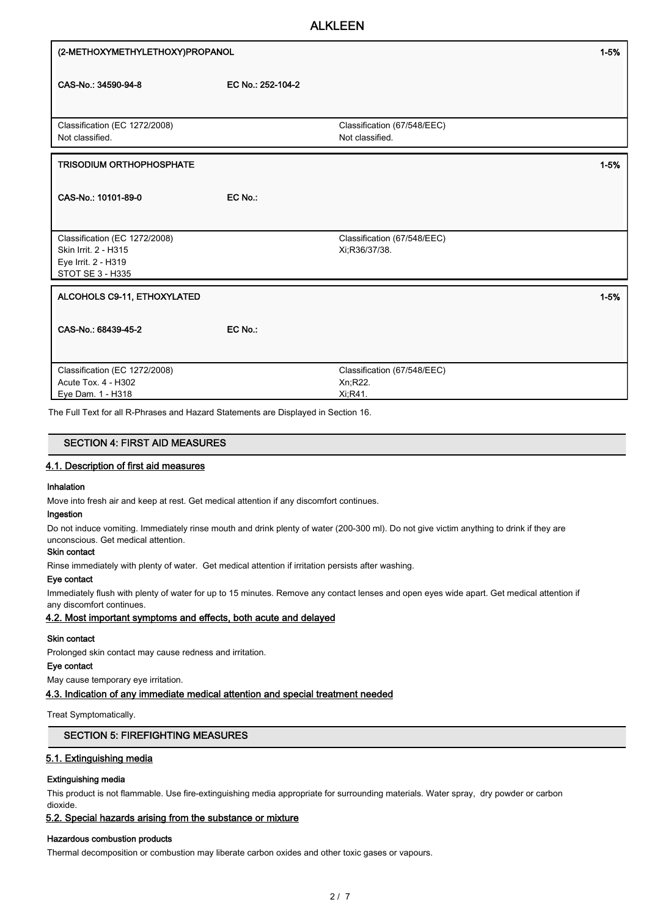| (2-METHOXYMETHYLETHOXY)PROPANOL                                                                  |                   |                                                     | $1 - 5%$ |
|--------------------------------------------------------------------------------------------------|-------------------|-----------------------------------------------------|----------|
| CAS-No.: 34590-94-8                                                                              | EC No.: 252-104-2 |                                                     |          |
| Classification (EC 1272/2008)<br>Not classified.                                                 |                   | Classification (67/548/EEC)<br>Not classified.      |          |
| <b>TRISODIUM ORTHOPHOSPHATE</b>                                                                  |                   |                                                     | $1 - 5%$ |
| CAS-No.: 10101-89-0                                                                              | EC No:            |                                                     |          |
| Classification (EC 1272/2008)<br>Skin Irrit. 2 - H315<br>Eye Irrit. 2 - H319<br>STOT SE 3 - H335 |                   | Classification (67/548/EEC)<br>Xi, R36/37/38.       |          |
| ALCOHOLS C9-11, ETHOXYLATED                                                                      |                   |                                                     | $1 - 5%$ |
| CAS-No.: 68439-45-2                                                                              | EC No.:           |                                                     |          |
| Classification (EC 1272/2008)<br>Acute Tox. 4 - H302<br>Eye Dam. 1 - H318                        |                   | Classification (67/548/EEC)<br>Xn, R22.<br>Xi, R41. |          |

The Full Text for all R-Phrases and Hazard Statements are Displayed in Section 16.

## SECTION 4: FIRST AID MEASURES

## 4.1. Description of first aid measures

## Inhalation

Move into fresh air and keep at rest. Get medical attention if any discomfort continues.

## Ingestion

Do not induce vomiting. Immediately rinse mouth and drink plenty of water (200-300 ml). Do not give victim anything to drink if they are unconscious. Get medical attention.

#### Skin contact

Rinse immediately with plenty of water. Get medical attention if irritation persists after washing.

#### Eye contact

Immediately flush with plenty of water for up to 15 minutes. Remove any contact lenses and open eyes wide apart. Get medical attention if any discomfort continues.

## 4.2. Most important symptoms and effects, both acute and delayed

#### Skin contact

Prolonged skin contact may cause redness and irritation.

## Eye contact

May cause temporary eye irritation.

#### 4.3. Indication of any immediate medical attention and special treatment needed

Treat Symptomatically.

## SECTION 5: FIREFIGHTING MEASURES

## 5.1. Extinguishing media

#### Extinguishing media

This product is not flammable. Use fire-extinguishing media appropriate for surrounding materials. Water spray, dry powder or carbon dioxide.

## 5.2. Special hazards arising from the substance or mixture

## Hazardous combustion products

Thermal decomposition or combustion may liberate carbon oxides and other toxic gases or vapours.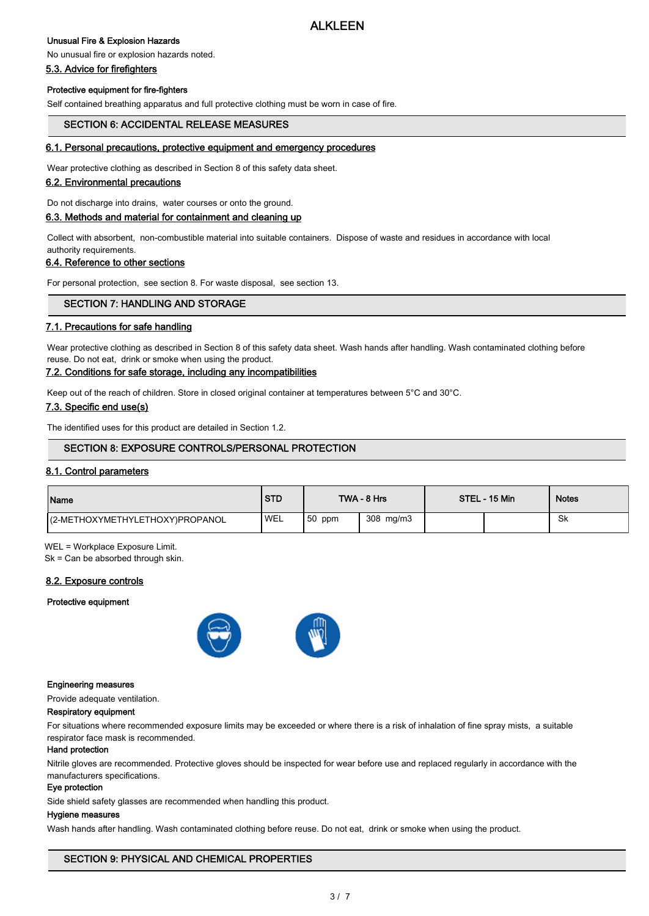## Unusual Fire & Explosion Hazards

## No unusual fire or explosion hazards noted.

## 5.3. Advice for firefighters

## Protective equipment for fire-fighters

Self contained breathing apparatus and full protective clothing must be worn in case of fire.

## SECTION 6: ACCIDENTAL RELEASE MEASURES

## 6.1. Personal precautions, protective equipment and emergency procedures

Wear protective clothing as described in Section 8 of this safety data sheet.

## 6.2. Environmental precautions

Do not discharge into drains, water courses or onto the ground.

## 6.3. Methods and material for containment and cleaning up

Collect with absorbent, non-combustible material into suitable containers. Dispose of waste and residues in accordance with local authority requirements.

## 6.4. Reference to other sections

For personal protection, see section 8. For waste disposal, see section 13.

## SECTION 7: HANDLING AND STORAGE

## 7.1. Precautions for safe handling

Wear protective clothing as described in Section 8 of this safety data sheet. Wash hands after handling. Wash contaminated clothing before reuse. Do not eat, drink or smoke when using the product.

## 7.2. Conditions for safe storage, including any incompatibilities

Keep out of the reach of children. Store in closed original container at temperatures between 5°C and 30°C.

## 7.3. Specific end use(s)

The identified uses for this product are detailed in Section 1.2.

## SECTION 8: EXPOSURE CONTROLS/PERSONAL PROTECTION

## 8.1. Control parameters

| Name                             | <b>STD</b> |          | TWA - 8 Hrs | STEL - 15 Min | <b>Notes</b> |
|----------------------------------|------------|----------|-------------|---------------|--------------|
| I(2-METHOXYMETHYLETHOXY)PROPANOL | 'WEL       | $50$ ppm | 308 mg/m3   |               | .Sk          |

WEL = Workplace Exposure Limit.

Sk = Can be absorbed through skin.

## 8.2. Exposure controls

#### Protective equipment



#### Engineering measures

Provide adequate ventilation.

## Respiratory equipment

For situations where recommended exposure limits may be exceeded or where there is a risk of inhalation of fine spray mists, a suitable respirator face mask is recommended.

#### Hand protection

Nitrile gloves are recommended. Protective gloves should be inspected for wear before use and replaced regularly in accordance with the manufacturers specifications.

## Eye protection

Side shield safety glasses are recommended when handling this product.

## Hygiene measures

Wash hands after handling. Wash contaminated clothing before reuse. Do not eat, drink or smoke when using the product.

## SECTION 9: PHYSICAL AND CHEMICAL PROPERTIES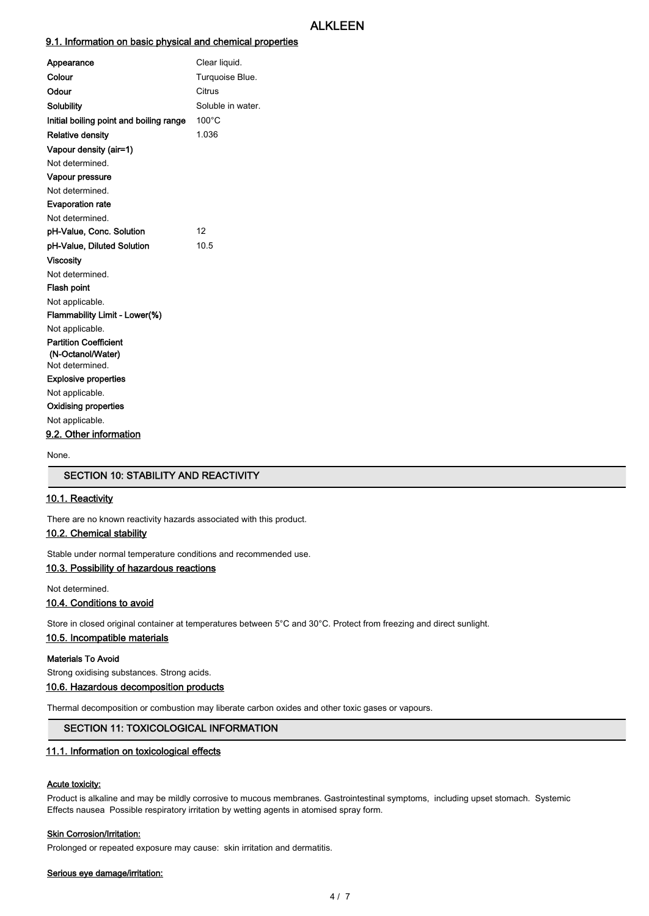## 9.1. Information on basic physical and chemical properties

| Appearance                              | Clear liquid.     |
|-----------------------------------------|-------------------|
| Colour                                  | Turquoise Blue.   |
| Odour                                   | Citrus            |
| Solubility                              | Soluble in water. |
| Initial boiling point and boiling range | $100^{\circ}$ C   |
| <b>Relative density</b>                 | 1.036             |
| Vapour density (air=1)                  |                   |
| Not determined.                         |                   |
| Vapour pressure                         |                   |
| Not determined                          |                   |
| <b>Evaporation rate</b>                 |                   |
| Not determined.                         |                   |
| pH-Value, Conc. Solution                | 12                |
| pH-Value, Diluted Solution              | 10.5              |
| <b>Viscosity</b>                        |                   |
| Not determined.                         |                   |
| <b>Flash point</b>                      |                   |
| Not applicable.                         |                   |
| Flammability Limit - Lower(%)           |                   |
| Not applicable.                         |                   |
| <b>Partition Coefficient</b>            |                   |
| (N-Octanol/Water)                       |                   |
| Not determined.                         |                   |
| <b>Explosive properties</b>             |                   |
| Not applicable.                         |                   |
| Oxidising properties                    |                   |
| Not applicable.                         |                   |
| 9.2. Other information                  |                   |
|                                         |                   |

None.

# SECTION 10: STABILITY AND REACTIVITY

## 10.1. Reactivity

There are no known reactivity hazards associated with this product.

## 10.2. Chemical stability

Stable under normal temperature conditions and recommended use.

## 10.3. Possibility of hazardous reactions

Not determined.

## 10.4. Conditions to avoid

Store in closed original container at temperatures between 5°C and 30°C. Protect from freezing and direct sunlight.

#### 10.5. Incompatible materials

#### Materials To Avoid

Strong oxidising substances. Strong acids.

## 10.6. Hazardous decomposition products

Thermal decomposition or combustion may liberate carbon oxides and other toxic gases or vapours.

## SECTION 11: TOXICOLOGICAL INFORMATION

## 11.1. Information on toxicological effects

#### Acute toxicity:

Product is alkaline and may be mildly corrosive to mucous membranes. Gastrointestinal symptoms, including upset stomach. Systemic Effects nausea Possible respiratory irritation by wetting agents in atomised spray form.

#### **Skin Corrosion/Irritation:**

Prolonged or repeated exposure may cause: skin irritation and dermatitis.

#### Serious eye damage/irritation: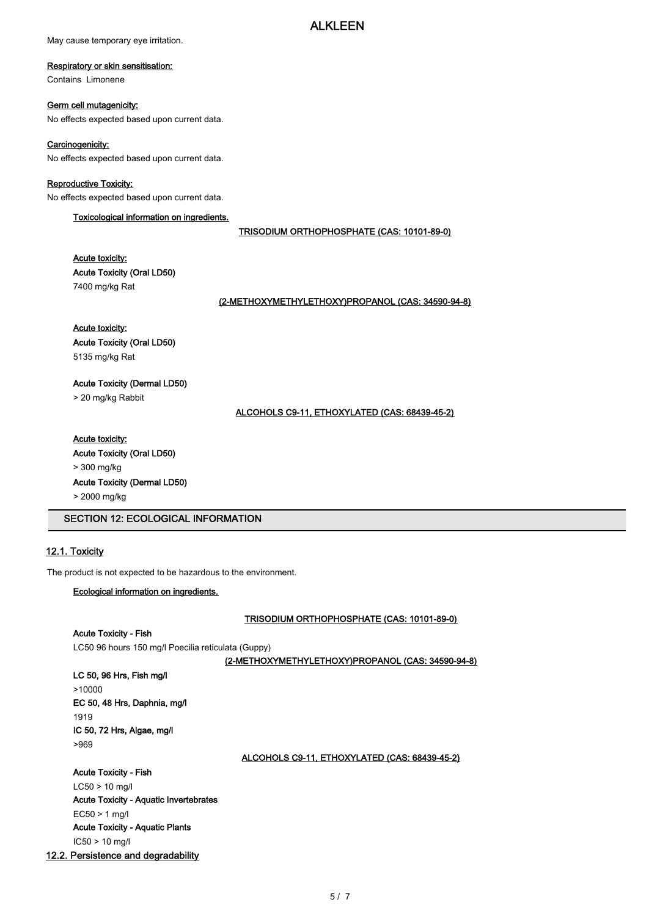May cause temporary eye irritation.

## Respiratory or skin sensitisation:

Contains Limonene

## Germ cell mutagenicity:

No effects expected based upon current data.

## Carcinogenicity:

No effects expected based upon current data.

# Reproductive Toxicity:

No effects expected based upon current data.

## Toxicological information on ingredients.

TRISODIUM ORTHOPHOSPHATE (CAS: 10101-89-0)

Acute toxicity:

Acute Toxicity (Oral LD50) 7400 mg/kg Rat

(2-METHOXYMETHYLETHOXY)PROPANOL (CAS: 34590-94-8)

Acute toxicity: Acute Toxicity (Oral LD50) 5135 mg/kg Rat

Acute Toxicity (Dermal LD50)

> 20 mg/kg Rabbit

ALCOHOLS C9-11, ETHOXYLATED (CAS: 68439-45-2)

# Acute toxicity:

Acute Toxicity (Oral LD50) > 300 mg/kg Acute Toxicity (Dermal LD50) > 2000 mg/kg

SECTION 12: ECOLOGICAL INFORMATION

# 12.1. Toxicity

The product is not expected to be hazardous to the environment.

## Ecological information on ingredients.

TRISODIUM ORTHOPHOSPHATE (CAS: 10101-89-0)

Acute Toxicity - Fish LC50 96 hours 150 mg/l Poecilia reticulata (Guppy)

(2-METHOXYMETHYLETHOXY)PROPANOL (CAS: 34590-94-8)

| LC 50, 96 Hrs, Fish mg/l     |
|------------------------------|
| >10000                       |
| EC 50, 48 Hrs, Daphnia, mg/l |
| 1919                         |
| IC 50, 72 Hrs, Algae, mg/l   |
| >969                         |
|                              |

ALCOHOLS C9-11, ETHOXYLATED (CAS: 68439-45-2)

Acute Toxicity - Fish LC50 > 10 mg/l Acute Toxicity - Aquatic Invertebrates EC50 > 1 mg/l

Acute Toxicity - Aquatic Plants

IC50 > 10 mg/l

## 12.2. Persistence and degradability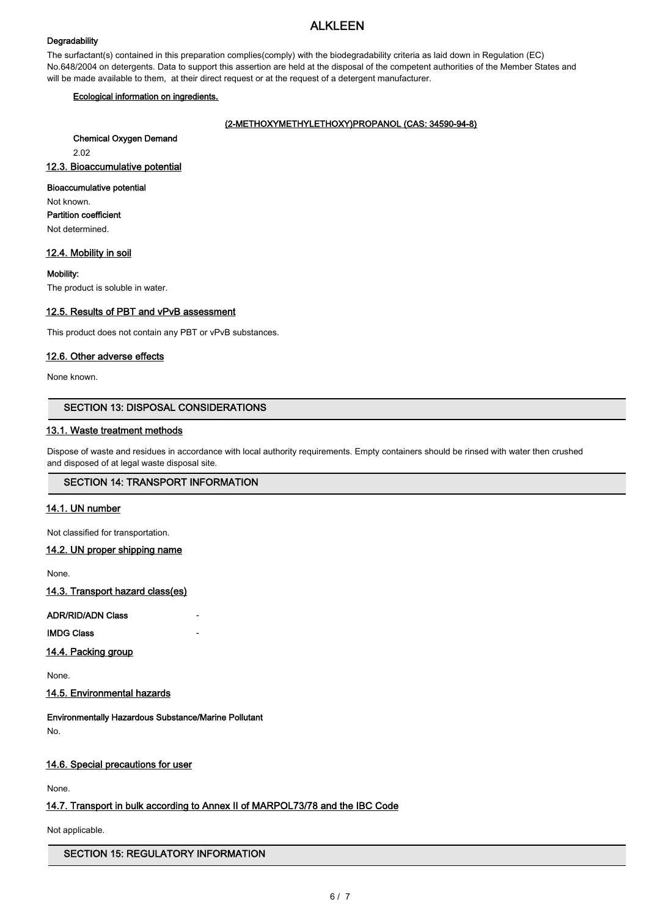## **Degradability**

The surfactant(s) contained in this preparation complies(comply) with the biodegradability criteria as laid down in Regulation (EC) No.648/2004 on detergents. Data to support this assertion are held at the disposal of the competent authorities of the Member States and will be made available to them, at their direct request or at the request of a detergent manufacturer.

## Ecological information on ingredients.

## (2-METHOXYMETHYLETHOXY)PROPANOL (CAS: 34590-94-8)

Chemical Oxygen Demand

2.02

12.3. Bioaccumulative potential

## Bioaccumulative potential

Not known.

Partition coefficient

Not determined.

## 12.4. Mobility in soil

Mobility:

The product is soluble in water.

## 12.5. Results of PBT and vPvB assessment

This product does not contain any PBT or vPvB substances.

## 12.6. Other adverse effects

None known.

# SECTION 13: DISPOSAL CONSIDERATIONS

## 13.1. Waste treatment methods

Dispose of waste and residues in accordance with local authority requirements. Empty containers should be rinsed with water then crushed and disposed of at legal waste disposal site.

## SECTION 14: TRANSPORT INFORMATION

## 14.1. UN number

Not classified for transportation.

## 14.2. UN proper shipping name

None.

14.3. Transport hazard class(es)

ADR/RID/ADN Class

**IMDG Class** 

14.4. Packing group

None.

14.5. Environmental hazards

Environmentally Hazardous Substance/Marine Pollutant No.

## 14.6. Special precautions for user

None.

# 14.7. Transport in bulk according to Annex II of MARPOL73/78 and the IBC Code

Not applicable.

## SECTION 15: REGULATORY INFORMATION